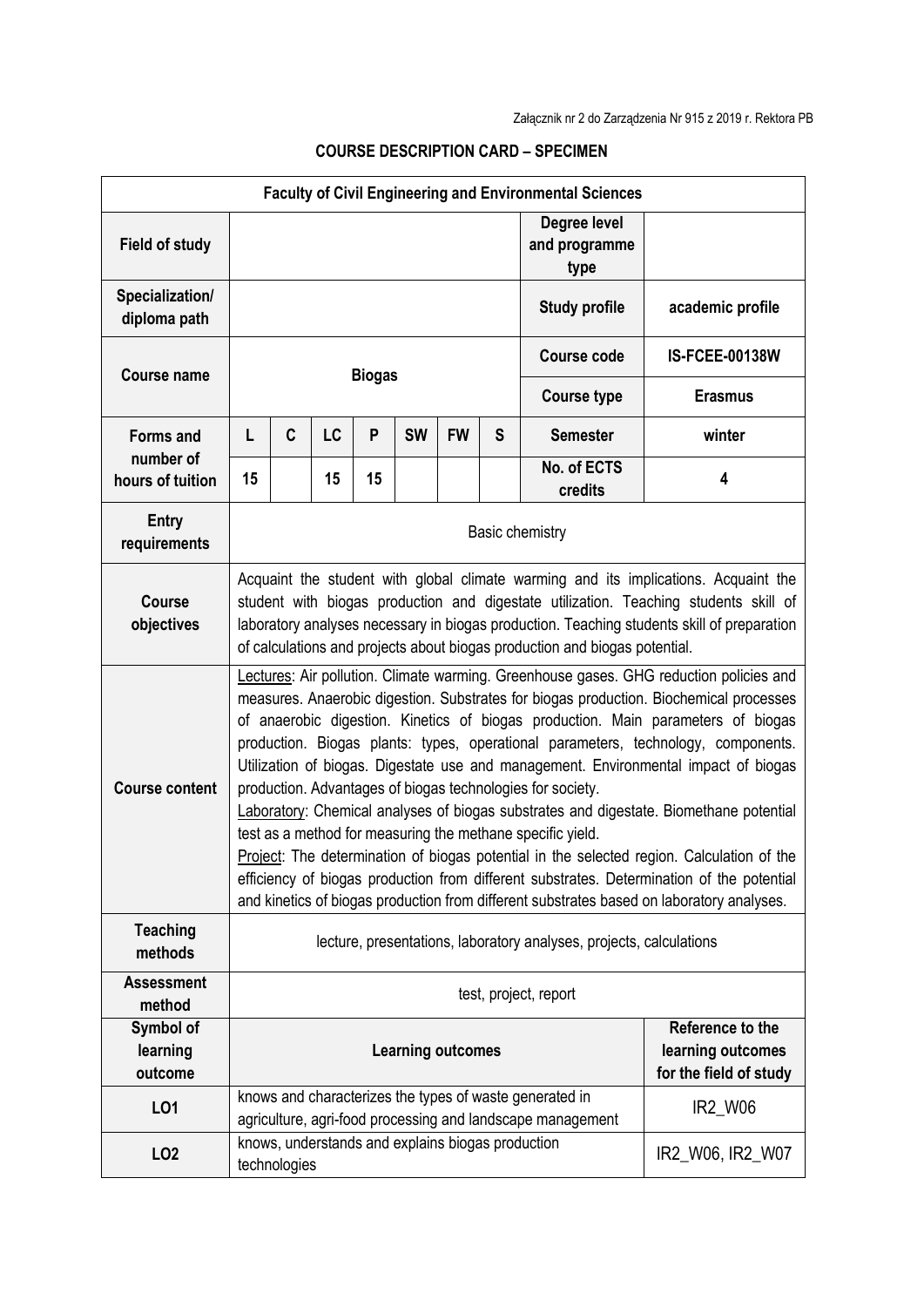| <b>Faculty of Civil Engineering and Environmental Sciences</b> |                                                                                                                                                                                                                                                                                                                                                                                                                                                                                                                                                                                                                                                                                                                                                                                                                                                                                                                                                               |              |    |    |                                                   |           |   |                                                                                                                       |                       |
|----------------------------------------------------------------|---------------------------------------------------------------------------------------------------------------------------------------------------------------------------------------------------------------------------------------------------------------------------------------------------------------------------------------------------------------------------------------------------------------------------------------------------------------------------------------------------------------------------------------------------------------------------------------------------------------------------------------------------------------------------------------------------------------------------------------------------------------------------------------------------------------------------------------------------------------------------------------------------------------------------------------------------------------|--------------|----|----|---------------------------------------------------|-----------|---|-----------------------------------------------------------------------------------------------------------------------|-----------------------|
| <b>Field of study</b>                                          |                                                                                                                                                                                                                                                                                                                                                                                                                                                                                                                                                                                                                                                                                                                                                                                                                                                                                                                                                               |              |    |    |                                                   |           |   | Degree level<br>and programme<br>type                                                                                 |                       |
| Specialization/<br>diploma path                                |                                                                                                                                                                                                                                                                                                                                                                                                                                                                                                                                                                                                                                                                                                                                                                                                                                                                                                                                                               |              |    |    |                                                   |           |   | <b>Study profile</b>                                                                                                  | academic profile      |
| <b>Course name</b>                                             | <b>Biogas</b>                                                                                                                                                                                                                                                                                                                                                                                                                                                                                                                                                                                                                                                                                                                                                                                                                                                                                                                                                 |              |    |    |                                                   |           |   | <b>Course code</b>                                                                                                    | <b>IS-FCEE-00138W</b> |
|                                                                |                                                                                                                                                                                                                                                                                                                                                                                                                                                                                                                                                                                                                                                                                                                                                                                                                                                                                                                                                               |              |    |    |                                                   |           |   | <b>Course type</b>                                                                                                    | <b>Erasmus</b>        |
| <b>Forms and</b>                                               | L                                                                                                                                                                                                                                                                                                                                                                                                                                                                                                                                                                                                                                                                                                                                                                                                                                                                                                                                                             | C            | LC | P  | <b>SW</b>                                         | <b>FW</b> | S | <b>Semester</b>                                                                                                       | winter                |
| number of<br>hours of tuition                                  | 15                                                                                                                                                                                                                                                                                                                                                                                                                                                                                                                                                                                                                                                                                                                                                                                                                                                                                                                                                            |              | 15 | 15 |                                                   |           |   | No. of ECTS<br>credits                                                                                                | 4                     |
| <b>Entry</b><br>requirements                                   | <b>Basic chemistry</b>                                                                                                                                                                                                                                                                                                                                                                                                                                                                                                                                                                                                                                                                                                                                                                                                                                                                                                                                        |              |    |    |                                                   |           |   |                                                                                                                       |                       |
| <b>Course</b><br>objectives                                    | Acquaint the student with global climate warming and its implications. Acquaint the<br>student with biogas production and digestate utilization. Teaching students skill of<br>laboratory analyses necessary in biogas production. Teaching students skill of preparation<br>of calculations and projects about biogas production and biogas potential.                                                                                                                                                                                                                                                                                                                                                                                                                                                                                                                                                                                                       |              |    |    |                                                   |           |   |                                                                                                                       |                       |
| <b>Course content</b>                                          | Lectures: Air pollution. Climate warming. Greenhouse gases. GHG reduction policies and<br>measures. Anaerobic digestion. Substrates for biogas production. Biochemical processes<br>of anaerobic digestion. Kinetics of biogas production. Main parameters of biogas<br>production. Biogas plants: types, operational parameters, technology, components.<br>Utilization of biogas. Digestate use and management. Environmental impact of biogas<br>production. Advantages of biogas technologies for society.<br>Laboratory: Chemical analyses of biogas substrates and digestate. Biomethane potential<br>test as a method for measuring the methane specific yield.<br>Project: The determination of biogas potential in the selected region. Calculation of the<br>efficiency of biogas production from different substrates. Determination of the potential<br>and kinetics of biogas production from different substrates based on laboratory analyses. |              |    |    |                                                   |           |   |                                                                                                                       |                       |
| <b>Teaching</b><br>methods                                     | lecture, presentations, laboratory analyses, projects, calculations                                                                                                                                                                                                                                                                                                                                                                                                                                                                                                                                                                                                                                                                                                                                                                                                                                                                                           |              |    |    |                                                   |           |   |                                                                                                                       |                       |
| <b>Assessment</b><br>method                                    | test, project, report                                                                                                                                                                                                                                                                                                                                                                                                                                                                                                                                                                                                                                                                                                                                                                                                                                                                                                                                         |              |    |    |                                                   |           |   |                                                                                                                       |                       |
| Symbol of<br>learning<br>outcome                               | <b>Learning outcomes</b>                                                                                                                                                                                                                                                                                                                                                                                                                                                                                                                                                                                                                                                                                                                                                                                                                                                                                                                                      |              |    |    |                                                   |           |   | Reference to the<br>learning outcomes<br>for the field of study                                                       |                       |
| LO1                                                            |                                                                                                                                                                                                                                                                                                                                                                                                                                                                                                                                                                                                                                                                                                                                                                                                                                                                                                                                                               |              |    |    |                                                   |           |   | knows and characterizes the types of waste generated in<br>agriculture, agri-food processing and landscape management | IR2_W06               |
| LO <sub>2</sub>                                                |                                                                                                                                                                                                                                                                                                                                                                                                                                                                                                                                                                                                                                                                                                                                                                                                                                                                                                                                                               | technologies |    |    | knows, understands and explains biogas production |           |   |                                                                                                                       | IR2_W06, IR2_W07      |

## **COURSE DESCRIPTION CARD – SPECIMEN**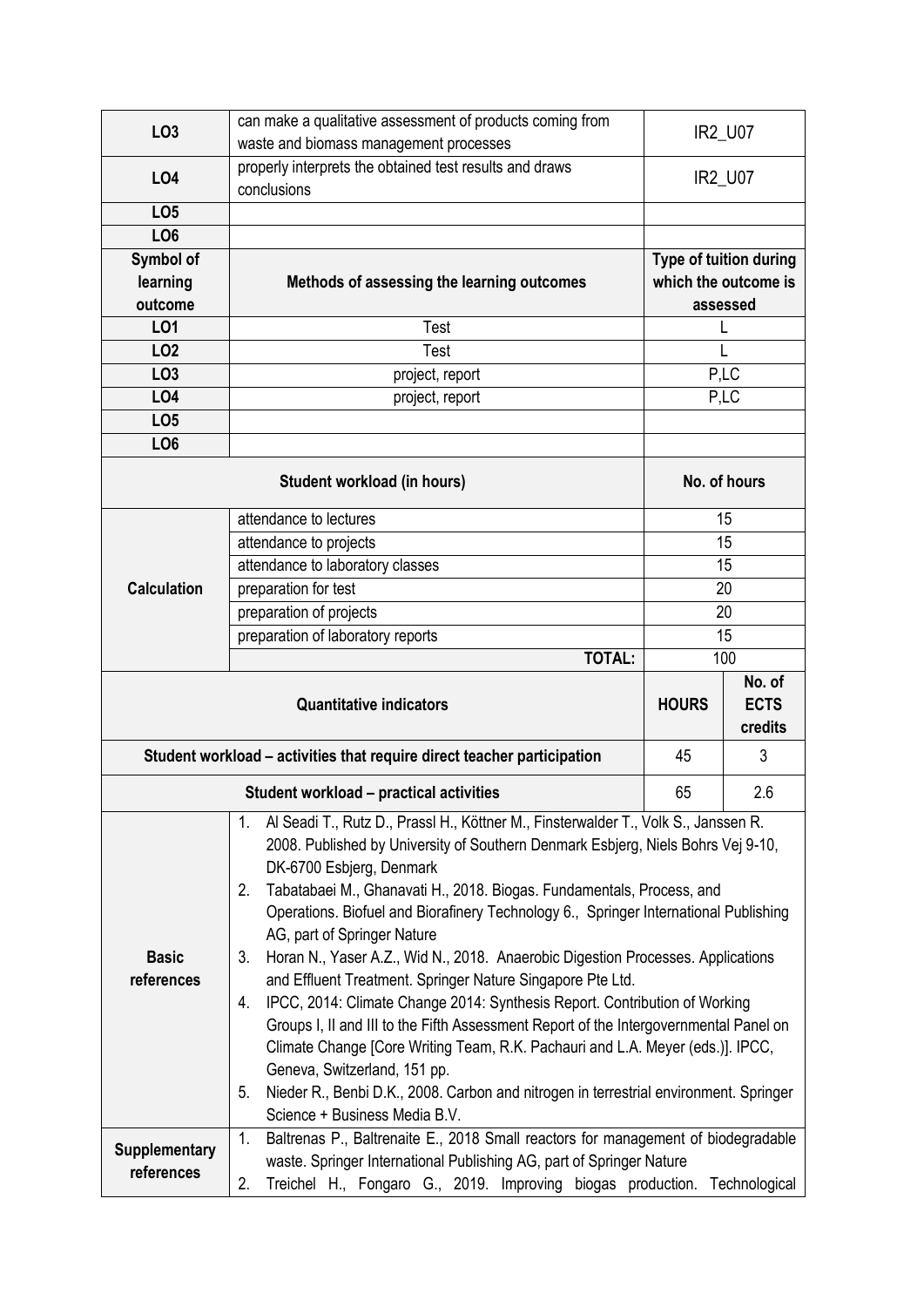| LO <sub>3</sub>      | can make a qualitative assessment of products coming from                                                                                               | IR2_U07                |          |  |
|----------------------|---------------------------------------------------------------------------------------------------------------------------------------------------------|------------------------|----------|--|
|                      | waste and biomass management processes                                                                                                                  |                        |          |  |
| L04                  | properly interprets the obtained test results and draws                                                                                                 | IR2_U07                |          |  |
|                      | conclusions                                                                                                                                             |                        |          |  |
| LO <sub>5</sub>      |                                                                                                                                                         |                        |          |  |
| LO <sub>6</sub>      |                                                                                                                                                         |                        |          |  |
| Symbol of            |                                                                                                                                                         | Type of tuition during |          |  |
| learning             | Methods of assessing the learning outcomes                                                                                                              | which the outcome is   |          |  |
| outcome              |                                                                                                                                                         |                        | assessed |  |
| L01                  | Test                                                                                                                                                    | L                      |          |  |
| LO <sub>2</sub>      | Test                                                                                                                                                    | L                      |          |  |
| LO <sub>3</sub>      | project, report                                                                                                                                         | P,LC                   |          |  |
| <b>LO4</b>           | project, report                                                                                                                                         | P,LC                   |          |  |
| LO <sub>5</sub>      |                                                                                                                                                         |                        |          |  |
| LO <sub>6</sub>      |                                                                                                                                                         |                        |          |  |
|                      | No. of hours                                                                                                                                            |                        |          |  |
|                      |                                                                                                                                                         |                        |          |  |
|                      | attendance to lectures                                                                                                                                  | 15                     |          |  |
|                      | attendance to projects                                                                                                                                  | 15                     |          |  |
| <b>Calculation</b>   | attendance to laboratory classes                                                                                                                        | 15                     |          |  |
|                      | preparation for test                                                                                                                                    | 20                     |          |  |
|                      | preparation of projects                                                                                                                                 | 20                     |          |  |
|                      | preparation of laboratory reports                                                                                                                       | 15                     |          |  |
|                      | <b>TOTAL:</b>                                                                                                                                           | 100                    |          |  |
|                      | <b>Quantitative indicators</b>                                                                                                                          |                        | No. of   |  |
|                      | <b>HOURS</b>                                                                                                                                            | <b>ECTS</b>            |          |  |
|                      |                                                                                                                                                         |                        |          |  |
|                      |                                                                                                                                                         |                        | credits  |  |
|                      | Student workload – activities that require direct teacher participation                                                                                 | 45                     | 3        |  |
|                      | Student workload - practical activities                                                                                                                 | 65                     | 2.6      |  |
|                      | Al Seadi T., Rutz D., Prassl H., Köttner M., Finsterwalder T., Volk S., Janssen R.<br>1.                                                                |                        |          |  |
|                      | 2008. Published by University of Southern Denmark Esbjerg, Niels Bohrs Vej 9-10,                                                                        |                        |          |  |
|                      | DK-6700 Esbjerg, Denmark                                                                                                                                |                        |          |  |
|                      | Tabatabaei M., Ghanavati H., 2018. Biogas. Fundamentals, Process, and<br>2.                                                                             |                        |          |  |
|                      | Operations. Biofuel and Biorafinery Technology 6., Springer International Publishing                                                                    |                        |          |  |
|                      | AG, part of Springer Nature                                                                                                                             |                        |          |  |
| <b>Basic</b>         | Horan N., Yaser A.Z., Wid N., 2018. Anaerobic Digestion Processes. Applications<br>3.                                                                   |                        |          |  |
| references           | and Effluent Treatment. Springer Nature Singapore Pte Ltd.                                                                                              |                        |          |  |
|                      | IPCC, 2014: Climate Change 2014: Synthesis Report. Contribution of Working<br>4.                                                                        |                        |          |  |
|                      | Groups I, II and III to the Fifth Assessment Report of the Intergovernmental Panel on                                                                   |                        |          |  |
|                      | Climate Change [Core Writing Team, R.K. Pachauri and L.A. Meyer (eds.)]. IPCC,                                                                          |                        |          |  |
|                      | Geneva, Switzerland, 151 pp.                                                                                                                            |                        |          |  |
|                      | Nieder R., Benbi D.K., 2008. Carbon and nitrogen in terrestrial environment. Springer<br>5.                                                             |                        |          |  |
|                      | Science + Business Media B.V.                                                                                                                           |                        |          |  |
| <b>Supplementary</b> | Baltrenas P., Baltrenaite E., 2018 Small reactors for management of biodegradable<br>1.                                                                 |                        |          |  |
| references           | waste. Springer International Publishing AG, part of Springer Nature<br>Treichel H., Fongaro G., 2019. Improving biogas production. Technological<br>2. |                        |          |  |